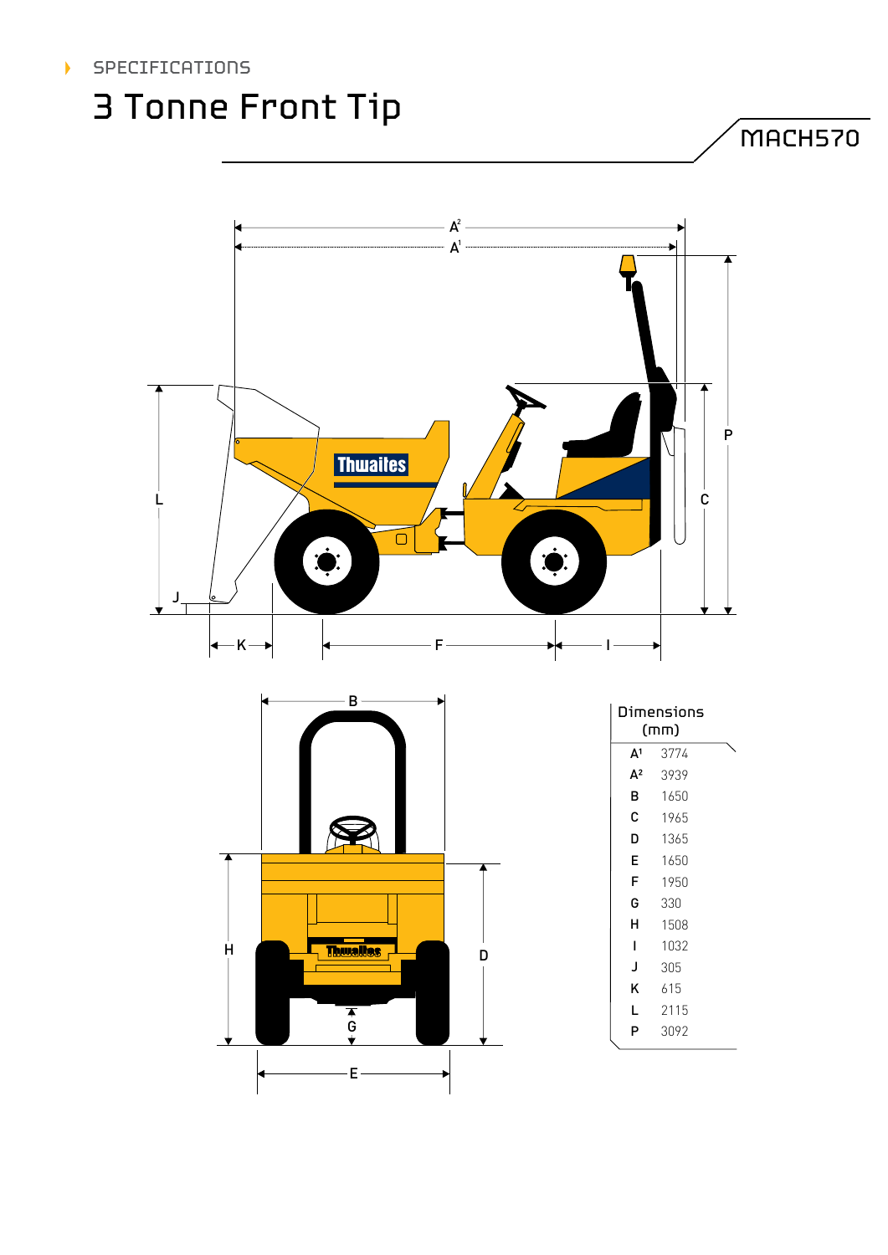### SPECIFICATIONS

## 3 Tonne Front Tip

MACH570